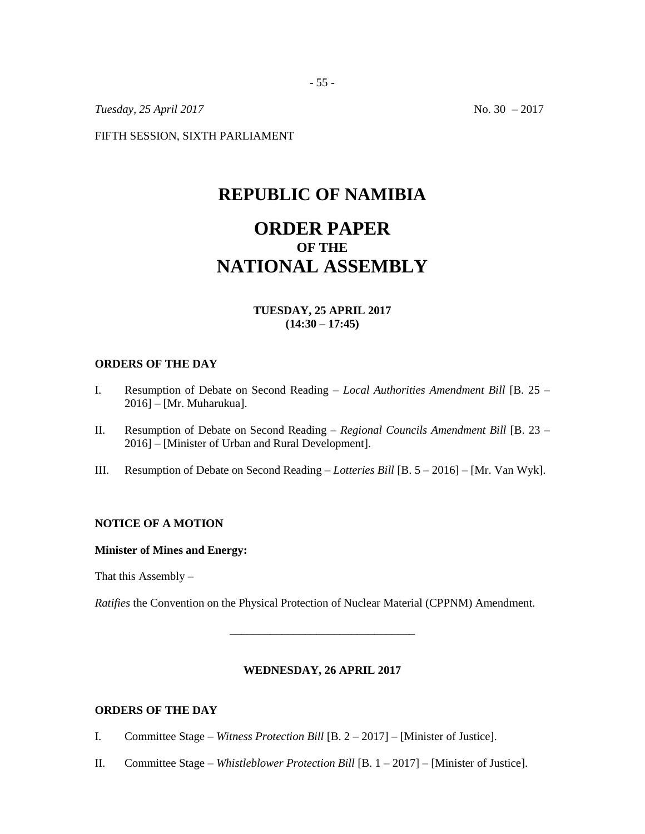*Tuesday, 25 April 2017* No. 30 – 2017

FIFTH SESSION, SIXTH PARLIAMENT

# **REPUBLIC OF NAMIBIA**

# **ORDER PAPER OF THE NATIONAL ASSEMBLY**

# **TUESDAY, 25 APRIL 2017 (14:30 – 17:45)**

### **ORDERS OF THE DAY**

- I. Resumption of Debate on Second Reading *Local Authorities Amendment Bill* [B. 25 2016] – [Mr. Muharukua].
- II. Resumption of Debate on Second Reading *Regional Councils Amendment Bill* [B. 23 2016] – [Minister of Urban and Rural Development].
- III. Resumption of Debate on Second Reading *Lotteries Bill* [B. 5 2016] [Mr. Van Wyk].

# **NOTICE OF A MOTION**

### **Minister of Mines and Energy:**

That this Assembly –

*Ratifies* the Convention on the Physical Protection of Nuclear Material (CPPNM) Amendment.

#### **WEDNESDAY, 26 APRIL 2017**

\_\_\_\_\_\_\_\_\_\_\_\_\_\_\_\_\_\_\_\_\_\_\_\_\_\_\_\_\_\_\_\_

### **ORDERS OF THE DAY**

- I. Committee Stage *Witness Protection Bill* [B. 2 2017] [Minister of Justice].
- II. Committee Stage *Whistleblower Protection Bill* [B. 1 2017] [Minister of Justice].